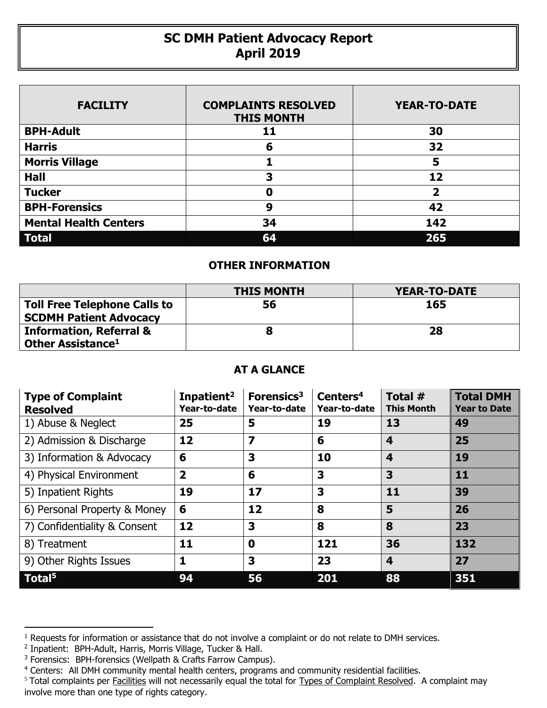## **SC DMH Patient Advocacy Report April 2019**

| <b>FACILITY</b>              | <b>COMPLAINTS RESOLVED</b><br><b>THIS MONTH</b> | <b>YEAR-TO-DATE</b> |
|------------------------------|-------------------------------------------------|---------------------|
| <b>BPH-Adult</b>             | 11                                              | 30                  |
| <b>Harris</b>                | 6                                               | 32                  |
| <b>Morris Village</b>        |                                                 | 5                   |
| <b>Hall</b>                  | 3                                               | 12                  |
| <b>Tucker</b>                | Ω                                               | 2                   |
| <b>BPH-Forensics</b>         | 9                                               | 42                  |
| <b>Mental Health Centers</b> | 34                                              | 142                 |
| <b>Total</b>                 | 64                                              | 265                 |

## **OTHER INFORMATION**

|                                                                      | <b>THIS MONTH</b> | YEAR-TO-DATE |  |  |
|----------------------------------------------------------------------|-------------------|--------------|--|--|
| <b>Toll Free Telephone Calls to</b><br><b>SCDMH Patient Advocacy</b> | 56                | 165          |  |  |
| <b>Information, Referral &amp;</b><br>Other Assistance <sup>1</sup>  |                   | 28           |  |  |

## **AT A GLANCE**

| <b>Type of Complaint</b><br><b>Resolved</b> | Inpatient <sup>2</sup><br>Year-to-date | Forensics <sup>3</sup><br>Year-to-date | Centers <sup>4</sup><br>Year-to-date | Total #<br><b>This Month</b> | <b>Total DMH</b><br><b>Year to Date</b> |
|---------------------------------------------|----------------------------------------|----------------------------------------|--------------------------------------|------------------------------|-----------------------------------------|
| 1) Abuse & Neglect                          | 25                                     | 5                                      | 19                                   | 13                           | 49                                      |
| 2) Admission & Discharge                    | 12                                     | $\overline{\mathbf{z}}$                | 6                                    | $\overline{\mathbf{4}}$      | 25                                      |
| 3) Information & Advocacy                   | 6                                      | 3                                      | 10                                   | 4                            | 19                                      |
| 4) Physical Environment                     | $\overline{2}$                         | 6                                      | 3                                    | 3                            | 11                                      |
| 5) Inpatient Rights                         | 19                                     | 17                                     | 3                                    | 11                           | 39                                      |
| 6) Personal Property & Money                | 6                                      | 12                                     | 8                                    | 5                            | 26                                      |
| 7) Confidentiality & Consent                | 12                                     | 3                                      | 8                                    | 8                            | 23                                      |
| 8) Treatment                                | 11                                     | $\bf{0}$                               | 121                                  | 36                           | 132                                     |
| 9) Other Rights Issues                      | 1                                      | 3                                      | 23                                   | $\overline{\mathbf{4}}$      | 27                                      |
| Total <sup>5</sup>                          | 94                                     | 56                                     | 201                                  | 88                           | 351                                     |

 $\overline{a}$ 

<sup>&</sup>lt;sup>1</sup> Requests for information or assistance that do not involve a complaint or do not relate to DMH services.

<sup>2</sup> Inpatient: BPH-Adult, Harris, Morris Village, Tucker & Hall.

<sup>&</sup>lt;sup>3</sup> Forensics: BPH-forensics (Wellpath & Crafts Farrow Campus).

<sup>&</sup>lt;sup>4</sup> Centers: All DMH community mental health centers, programs and community residential facilities.

<sup>&</sup>lt;sup>5</sup> Total complaints per Facilities will not necessarily equal the total for Types of Complaint Resolved. A complaint may involve more than one type of rights category.